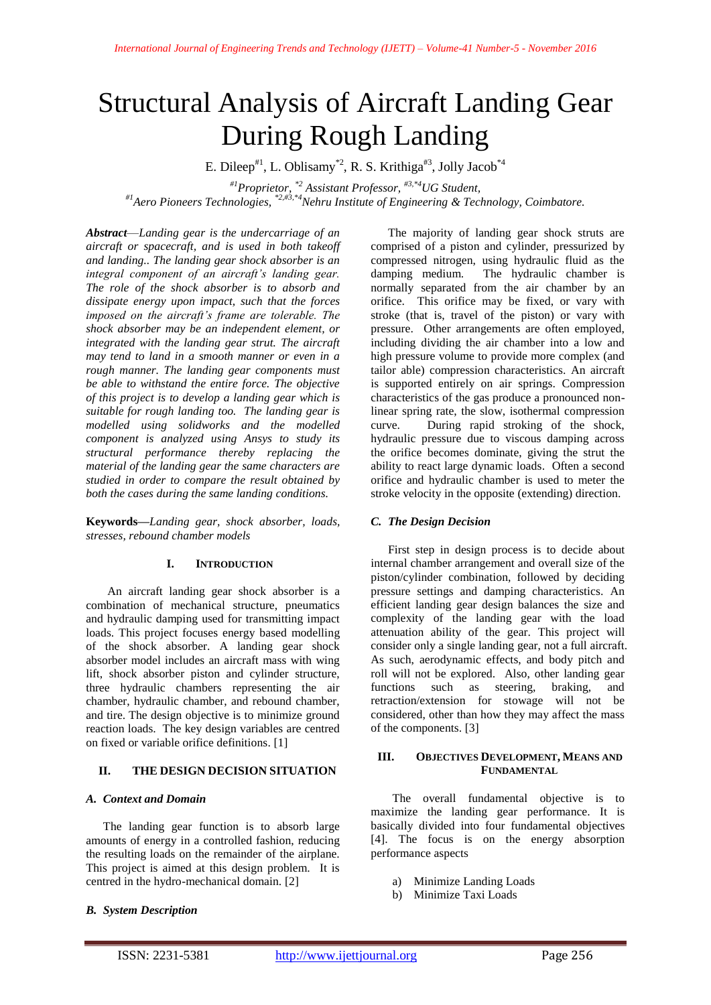# Structural Analysis of Aircraft Landing Gear During Rough Landing

E. Dileep<sup>#1</sup>, L. Oblisamy<sup>\*2</sup>, R. S. Krithiga<sup>#3</sup>, Jolly Jacob<sup>\*4</sup>

*#1Proprietor, \*2 Assistant Professor, #3,\*4UG Student,*

*#1Aero Pioneers Technologies, \*2,#3,\*4Nehru Institute of Engineering & Technology, Coimbatore.*

*Abstract*—*Landing gear is the undercarriage of an aircraft or spacecraft, and is used in both takeoff and landing.. The landing gear shock absorber is an integral component of an aircraft's landing gear. The role of the shock absorber is to absorb and dissipate energy upon impact, such that the forces imposed on the aircraft's frame are tolerable. The shock absorber may be an independent element, or integrated with the landing gear strut. The aircraft may tend to land in a smooth manner or even in a rough manner. The landing gear components must be able to withstand the entire force. The objective of this project is to develop a landing gear which is suitable for rough landing too. The landing gear is modelled using solidworks and the modelled component is analyzed using Ansys to study its structural performance thereby replacing the material of the landing gear the same characters are studied in order to compare the result obtained by both the cases during the same landing conditions.*

**Keywords***—Landing gear, shock absorber, loads, stresses, rebound chamber models*

## **I. INTRODUCTION**

An aircraft landing gear shock absorber is a combination of mechanical structure, pneumatics and hydraulic damping used for transmitting impact loads. This project focuses energy based modelling of the shock absorber. A landing gear shock absorber model includes an aircraft mass with wing lift, shock absorber piston and cylinder structure, three hydraulic chambers representing the air chamber, hydraulic chamber, and rebound chamber, and tire. The design objective is to minimize ground reaction loads. The key design variables are centred on fixed or variable orifice definitions. [1]

## **II. THE DESIGN DECISION SITUATION**

## *A. Context and Domain*

The landing gear function is to absorb large amounts of energy in a controlled fashion, reducing the resulting loads on the remainder of the airplane. This project is aimed at this design problem. It is centred in the hydro-mechanical domain. [2]

## *B. System Description*

The majority of landing gear shock struts are comprised of a piston and cylinder, pressurized by compressed nitrogen, using hydraulic fluid as the damping medium. The hydraulic chamber is normally separated from the air chamber by an orifice. This orifice may be fixed, or vary with stroke (that is, travel of the piston) or vary with pressure. Other arrangements are often employed, including dividing the air chamber into a low and high pressure volume to provide more complex (and tailor able) compression characteristics. An aircraft is supported entirely on air springs. Compression characteristics of the gas produce a pronounced nonlinear spring rate, the slow, isothermal compression curve. During rapid stroking of the shock, hydraulic pressure due to viscous damping across the orifice becomes dominate, giving the strut the ability to react large dynamic loads. Often a second orifice and hydraulic chamber is used to meter the stroke velocity in the opposite (extending) direction.

## *C. The Design Decision*

First step in design process is to decide about internal chamber arrangement and overall size of the piston/cylinder combination, followed by deciding pressure settings and damping characteristics. An efficient landing gear design balances the size and complexity of the landing gear with the load attenuation ability of the gear. This project will consider only a single landing gear, not a full aircraft. As such, aerodynamic effects, and body pitch and roll will not be explored. Also, other landing gear functions such as steering, braking, and retraction/extension for stowage will not be considered, other than how they may affect the mass of the components. [3]

#### **III. OBJECTIVES DEVELOPMENT, MEANS AND FUNDAMENTAL**

The overall fundamental objective is to maximize the landing gear performance. It is basically divided into four fundamental objectives [4]. The focus is on the energy absorption performance aspects

- a) Minimize Landing Loads
- b) Minimize Taxi Loads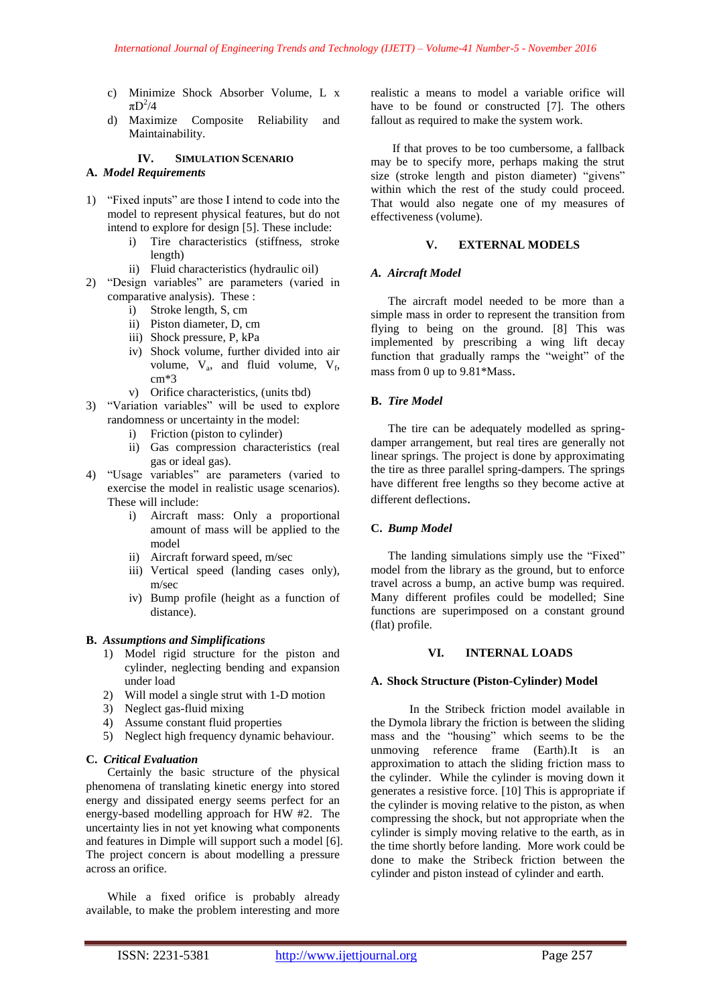- c) Minimize Shock Absorber Volume, L x  $\pi D^2/4$
- d) Maximize Composite Reliability and Maintainability.

## **IV. SIMULATION SCENARIO**

#### **A.** *Model Requirements*

- 1) "Fixed inputs" are those I intend to code into the model to represent physical features, but do not intend to explore for design [5]. These include:
	- i) Tire characteristics (stiffness, stroke length)
	- ii) Fluid characteristics (hydraulic oil)
- 2) "Design variables" are parameters (varied in comparative analysis). These :
	- i) Stroke length, S, cm
	- ii) Piston diameter, D, cm
	- iii) Shock pressure, P, kPa
	- iv) Shock volume, further divided into air volume,  $V_a$ , and fluid volume,  $V_f$ , cm\*3
	- v) Orifice characteristics, (units tbd)
- 3) "Variation variables" will be used to explore randomness or uncertainty in the model:
	- i) Friction (piston to cylinder)
	- ii) Gas compression characteristics (real gas or ideal gas).
- 4) "Usage variables" are parameters (varied to exercise the model in realistic usage scenarios). These will include:
	- i) Aircraft mass: Only a proportional amount of mass will be applied to the model
	- ii) Aircraft forward speed, m/sec
	- iii) Vertical speed (landing cases only), m/sec
	- iv) Bump profile (height as a function of distance).

#### **B.** *Assumptions and Simplifications*

- 1) Model rigid structure for the piston and cylinder, neglecting bending and expansion under load
- 2) Will model a single strut with 1-D motion
- 3) Neglect gas-fluid mixing
- 4) Assume constant fluid properties
- 5) Neglect high frequency dynamic behaviour.

## **C.** *Critical Evaluation*

Certainly the basic structure of the physical phenomena of translating kinetic energy into stored energy and dissipated energy seems perfect for an energy-based modelling approach for HW #2. The uncertainty lies in not yet knowing what components and features in Dimple will support such a model [6]. The project concern is about modelling a pressure across an orifice.

While a fixed orifice is probably already available, to make the problem interesting and more

realistic a means to model a variable orifice will have to be found or constructed [7]. The others fallout as required to make the system work.

If that proves to be too cumbersome, a fallback may be to specify more, perhaps making the strut size (stroke length and piston diameter) "givens" within which the rest of the study could proceed. That would also negate one of my measures of effectiveness (volume).

## **V. EXTERNAL MODELS**

#### *A. Aircraft Model*

The aircraft model needed to be more than a simple mass in order to represent the transition from flying to being on the ground. [8] This was implemented by prescribing a wing lift decay function that gradually ramps the "weight" of the mass from 0 up to 9.81\*Mass.

#### **B.** *Tire Model*

The tire can be adequately modelled as springdamper arrangement, but real tires are generally not linear springs. The project is done by approximating the tire as three parallel spring-dampers. The springs have different free lengths so they become active at different deflections.

#### **C.** *Bump Model*

The landing simulations simply use the "Fixed" model from the library as the ground, but to enforce travel across a bump, an active bump was required. Many different profiles could be modelled; Sine functions are superimposed on a constant ground (flat) profile.

#### **VI. INTERNAL LOADS**

#### **A. Shock Structure (Piston-Cylinder) Model**

In the Stribeck friction model available in the Dymola library the friction is between the sliding mass and the "housing" which seems to be the unmoving reference frame (Earth).It is an approximation to attach the sliding friction mass to the cylinder. While the cylinder is moving down it generates a resistive force. [10] This is appropriate if the cylinder is moving relative to the piston, as when compressing the shock, but not appropriate when the cylinder is simply moving relative to the earth, as in the time shortly before landing. More work could be done to make the Stribeck friction between the cylinder and piston instead of cylinder and earth.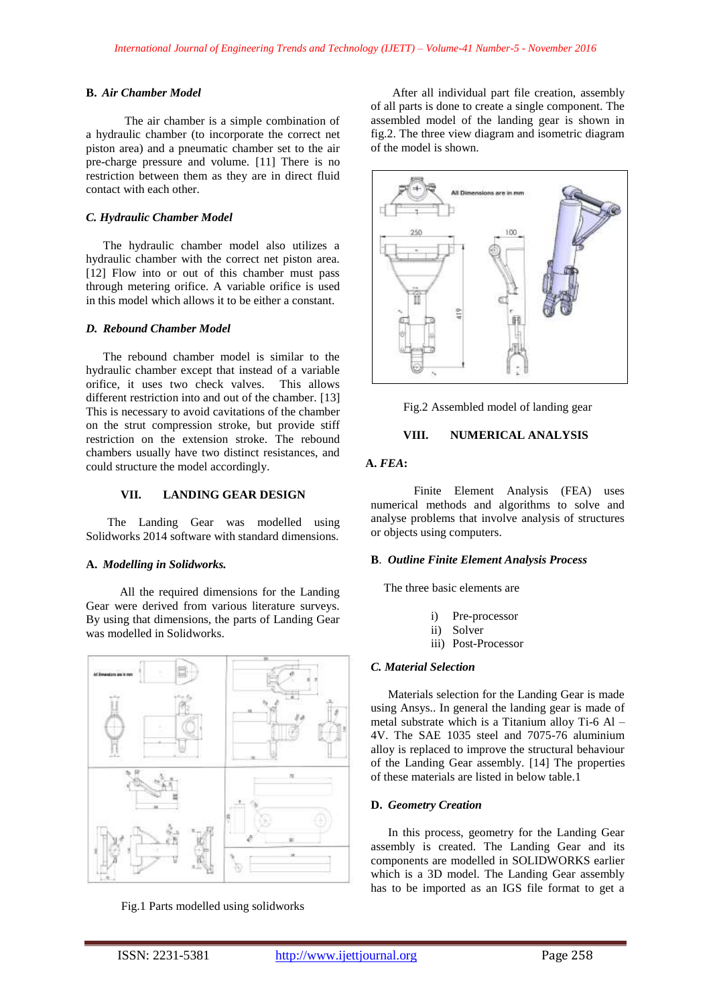#### **B.** *Air Chamber Model*

The air chamber is a simple combination of a hydraulic chamber (to incorporate the correct net piston area) and a pneumatic chamber set to the air pre-charge pressure and volume. [11] There is no restriction between them as they are in direct fluid contact with each other.

## *C. Hydraulic Chamber Model*

The hydraulic chamber model also utilizes a hydraulic chamber with the correct net piston area. [12] Flow into or out of this chamber must pass through metering orifice. A variable orifice is used in this model which allows it to be either a constant.

#### *D. Rebound Chamber Model*

The rebound chamber model is similar to the hydraulic chamber except that instead of a variable orifice, it uses two check valves. This allows different restriction into and out of the chamber. [13] This is necessary to avoid cavitations of the chamber on the strut compression stroke, but provide stiff restriction on the extension stroke. The rebound chambers usually have two distinct resistances, and could structure the model accordingly.

#### **VII. LANDING GEAR DESIGN**

The Landing Gear was modelled using Solidworks 2014 software with standard dimensions.

## **A.** *Modelling in Solidworks.*

All the required dimensions for the Landing Gear were derived from various literature surveys. By using that dimensions, the parts of Landing Gear was modelled in Solidworks.



Fig.1 Parts modelled using solidworks

After all individual part file creation, assembly of all parts is done to create a single component. The assembled model of the landing gear is shown in fig.2. The three view diagram and isometric diagram of the model is shown.



Fig.2 Assembled model of landing gear

## **VIII. NUMERICAL ANALYSIS**

## **A.** *FEA***:**

Finite Element Analysis (FEA) uses numerical methods and algorithms to solve and analyse problems that involve analysis of structures or objects using computers.

#### **B**. *Outline Finite Element Analysis Process*

The three basic elements are

- i) Pre-processor
- ii) Solver
- iii) Post-Processor

#### *C. Material Selection*

Materials selection for the Landing Gear is made using Ansys.. In general the landing gear is made of metal substrate which is a Titanium alloy Ti-6 Al – 4V. The SAE 1035 steel and 7075-76 aluminium alloy is replaced to improve the structural behaviour of the Landing Gear assembly. [14] The properties of these materials are listed in below table.1

## **D.** *Geometry Creation*

In this process, geometry for the Landing Gear assembly is created. The Landing Gear and its components are modelled in SOLIDWORKS earlier which is a 3D model. The Landing Gear assembly has to be imported as an IGS file format to get a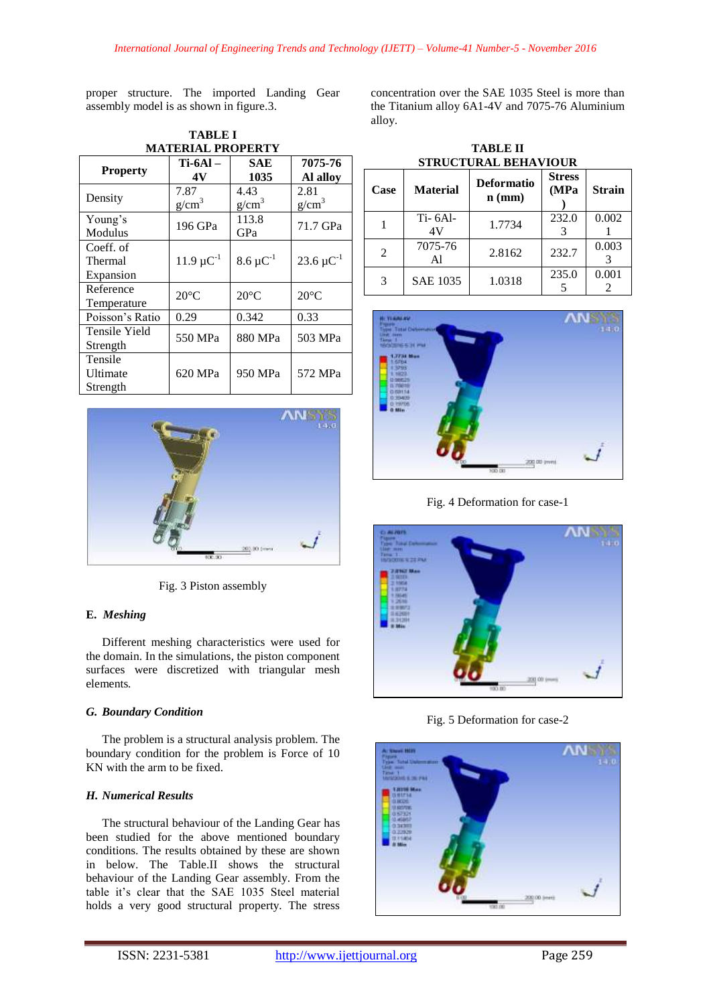proper structure. The imported Landing Gear assembly model is as shown in figure.3.

| <b>MATERIAL PROPERTY</b> |                   |                   |                            |  |  |  |
|--------------------------|-------------------|-------------------|----------------------------|--|--|--|
| <b>Property</b>          | $Ti-6Al-$         | SAE               | 7075-76                    |  |  |  |
|                          | 4V                | 1035              | Al alloy                   |  |  |  |
| Density                  | 7.87              | 4.43              | 2.81                       |  |  |  |
|                          | g/cm <sup>3</sup> | g/cm <sup>3</sup> | g/cm <sup>3</sup>          |  |  |  |
| Young's                  | 196 GPa           | 113.8             | 71.7 GPa                   |  |  |  |
| Modulus                  |                   | GPa               |                            |  |  |  |
| Coeff. of                |                   |                   |                            |  |  |  |
| Thermal                  | $11.9 \mu C^{-1}$ | $8.6 \mu C^{-1}$  | 23.6 $\mu$ C <sup>-1</sup> |  |  |  |
| Expansion                |                   |                   |                            |  |  |  |
| Reference                | $20^{\circ}$ C    | $20^{\circ}$ C    | $20^{\circ}$ C             |  |  |  |
| Temperature              |                   |                   |                            |  |  |  |
| Poisson's Ratio          | 0.29              | 0.342             | 0.33                       |  |  |  |
| Tensile Yield            | 550 MPa           | 880 MPa           | 503 MPa                    |  |  |  |
| Strength                 |                   |                   |                            |  |  |  |
| Tensile                  |                   |                   |                            |  |  |  |
| Ultimate                 | 620 MPa           | 950 MPa           | 572 MPa                    |  |  |  |
| Strength                 |                   |                   |                            |  |  |  |

**TABLE I**



Fig. 3 Piston assembly

## **E.** *Meshing*

Different meshing characteristics were used for the domain. In the simulations, the piston component surfaces were discretized with triangular mesh elements*.*

#### *G. Boundary Condition*

The problem is a structural analysis problem. The boundary condition for the problem is Force of 10 KN with the arm to be fixed.

## *H. Numerical Results*

The structural behaviour of the Landing Gear has been studied for the above mentioned boundary conditions. The results obtained by these are shown in below. The Table.II shows the structural behaviour of the Landing Gear assembly. From the table it's clear that the SAE 1035 Steel material holds a very good structural property. The stress

concentration over the SAE 1035 Steel is more than the Titanium alloy 6A1-4V and 7075-76 Aluminium alloy.

**TABLE II**

| <b>STRUCTURAL BEHAVIOUR</b> |                 |                               |                       |               |  |  |
|-----------------------------|-----------------|-------------------------------|-----------------------|---------------|--|--|
| Case                        | <b>Material</b> | <b>Deformatio</b><br>$n$ (mm) | <b>Stress</b><br>(MPa | <b>Strain</b> |  |  |
|                             | $Ti-6Al-$<br>4V | 1.7734                        | 232.0<br>3            | 0.002         |  |  |
| 2                           | 7075-76<br>Al   | 2.8162                        | 232.7                 | 0.003         |  |  |
| 3                           | <b>SAE 1035</b> | 1.0318                        | 235.0                 | 0.001         |  |  |

**TEAMA** 200 00 y ने ल

Fig. 4 Deformation for case-1



Fig. 5 Deformation for case-2

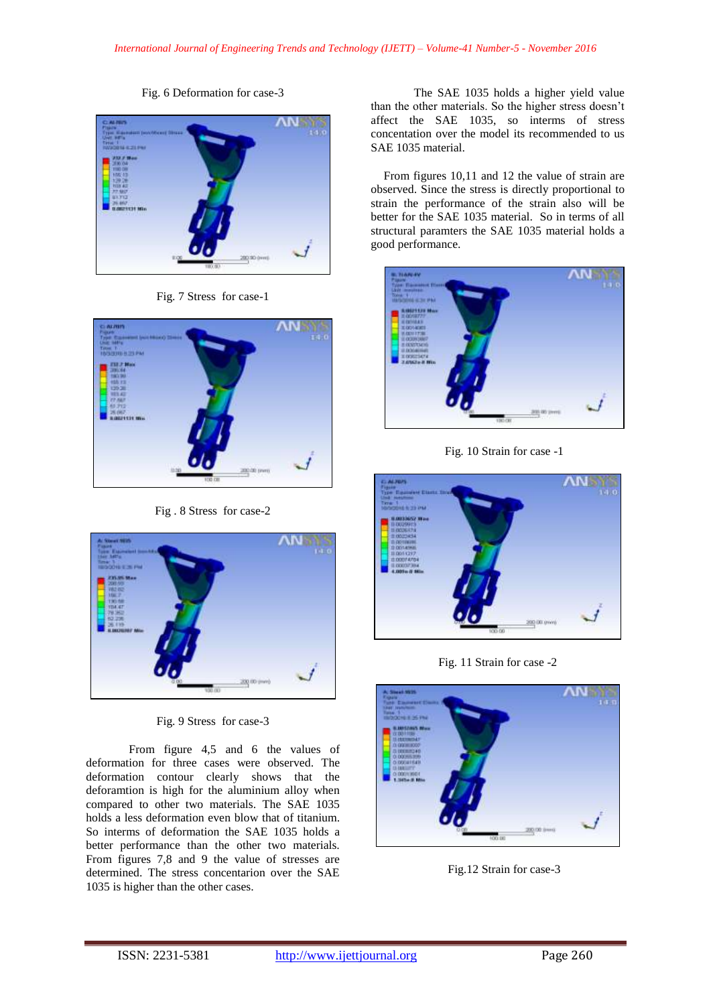Fig. 6 Deformation for case-3



Fig. 7 Stress for case-1



Fig . 8 Stress for case-2



Fig. 9 Stress for case-3

From figure 4,5 and 6 the values of deformation for three cases were observed. The deformation contour clearly shows that the deforamtion is high for the aluminium alloy when compared to other two materials. The SAE 1035 holds a less deformation even blow that of titanium. So interms of deformation the SAE 1035 holds a better performance than the other two materials. From figures 7,8 and 9 the value of stresses are determined. The stress concentarion over the SAE 1035 is higher than the other cases.

The SAE 1035 holds a higher yield value than the other materials. So the higher stress doesn't affect the SAE 1035, so interms of stress concentation over the model its recommended to us SAE 1035 material.

From figures 10,11 and 12 the value of strain are observed. Since the stress is directly proportional to strain the performance of the strain also will be better for the SAE 1035 material. So in terms of all structural paramters the SAE 1035 material holds a good performance.



Fig. 10 Strain for case -1



Fig. 11 Strain for case -2



Fig.12 Strain for case-3